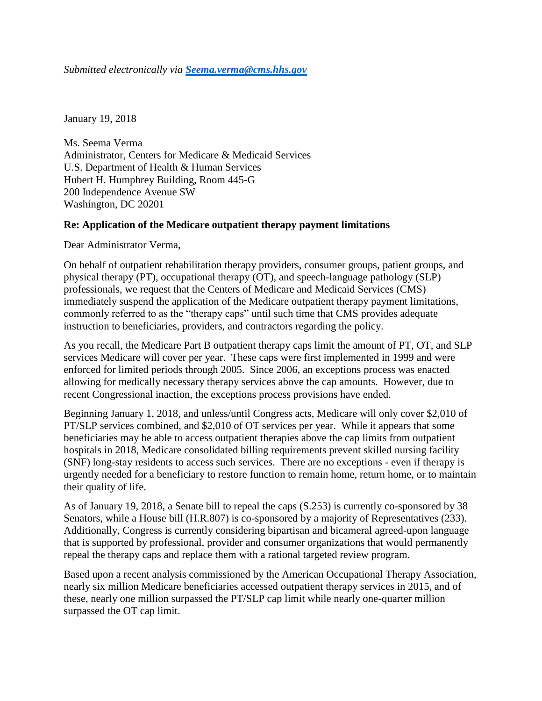*Submitted electronically via [Seema.verma@cms.hhs.gov](mailto:Seema.verma@cms.hhs.gov)*

January 19, 2018

Ms. Seema Verma Administrator, Centers for Medicare & Medicaid Services U.S. Department of Health & Human Services Hubert H. Humphrey Building, Room 445-G 200 Independence Avenue SW Washington, DC 20201

## **Re: Application of the Medicare outpatient therapy payment limitations**

Dear Administrator Verma,

On behalf of outpatient rehabilitation therapy providers, consumer groups, patient groups, and physical therapy (PT), occupational therapy (OT), and speech-language pathology (SLP) professionals, we request that the Centers of Medicare and Medicaid Services (CMS) immediately suspend the application of the Medicare outpatient therapy payment limitations, commonly referred to as the "therapy caps" until such time that CMS provides adequate instruction to beneficiaries, providers, and contractors regarding the policy.

As you recall, the Medicare Part B outpatient therapy caps limit the amount of PT, OT, and SLP services Medicare will cover per year. These caps were first implemented in 1999 and were enforced for limited periods through 2005. Since 2006, an exceptions process was enacted allowing for medically necessary therapy services above the cap amounts. However, due to recent Congressional inaction, the exceptions process provisions have ended.

Beginning January 1, 2018, and unless/until Congress acts, Medicare will only cover \$2,010 of PT/SLP services combined, and \$2,010 of OT services per year. While it appears that some beneficiaries may be able to access outpatient therapies above the cap limits from outpatient hospitals in 2018, Medicare consolidated billing requirements prevent skilled nursing facility (SNF) long-stay residents to access such services. There are no exceptions - even if therapy is urgently needed for a beneficiary to restore function to remain home, return home, or to maintain their quality of life.

As of January 19, 2018, a Senate bill to repeal the caps (S.253) is currently co-sponsored by 38 Senators, while a House bill (H.R.807) is co-sponsored by a majority of Representatives (233). Additionally, Congress is currently considering bipartisan and bicameral agreed-upon language that is supported by professional, provider and consumer organizations that would permanently repeal the therapy caps and replace them with a rational targeted review program.

Based upon a recent analysis commissioned by the American Occupational Therapy Association, nearly six million Medicare beneficiaries accessed outpatient therapy services in 2015, and of these, nearly one million surpassed the PT/SLP cap limit while nearly one-quarter million surpassed the OT cap limit.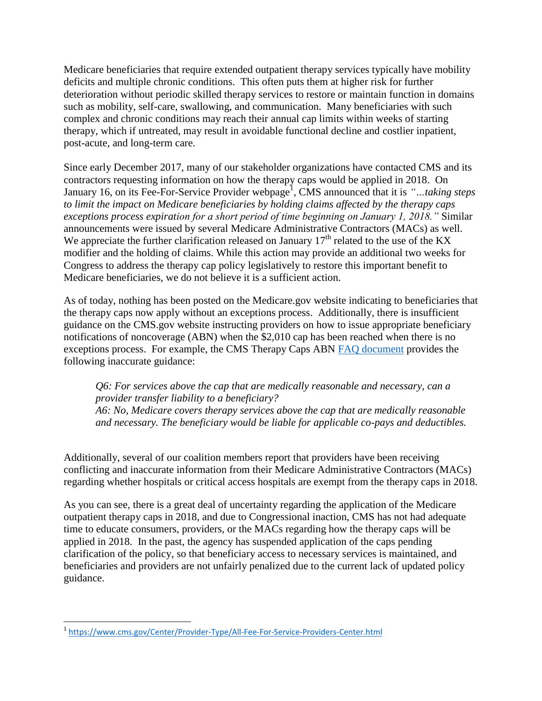Medicare beneficiaries that require extended outpatient therapy services typically have mobility deficits and multiple chronic conditions. This often puts them at higher risk for further deterioration without periodic skilled therapy services to restore or maintain function in domains such as mobility, self-care, swallowing, and communication. Many beneficiaries with such complex and chronic conditions may reach their annual cap limits within weeks of starting therapy, which if untreated, may result in avoidable functional decline and costlier inpatient, post-acute, and long-term care.

Since early December 2017, many of our stakeholder organizations have contacted CMS and its contractors requesting information on how the therapy caps would be applied in 2018. On January 16, on its Fee-For-Service Provider webpage<sup>1</sup>, CMS announced that it is *"...taking steps to limit the impact on Medicare beneficiaries by holding claims affected by the therapy caps exceptions process expiration for a short period of time beginning on January 1, 2018."* Similar announcements were issued by several Medicare Administrative Contractors (MACs) as well. We appreciate the further clarification released on January  $17<sup>th</sup>$  related to the use of the KX modifier and the holding of claims. While this action may provide an additional two weeks for Congress to address the therapy cap policy legislatively to restore this important benefit to Medicare beneficiaries, we do not believe it is a sufficient action.

As of today, nothing has been posted on the Medicare.gov website indicating to beneficiaries that the therapy caps now apply without an exceptions process. Additionally, there is insufficient guidance on the CMS.gov website instructing providers on how to issue appropriate beneficiary notifications of noncoverage (ABN) when the \$2,010 cap has been reached when there is no exceptions process. For example, the CMS Therapy Caps ABN [FAQ document](https://www.cms.gov/Medicare/Billing/TherapyServices/Downloads/ABN-Noncoverage-FAQ.pdf) provides the following inaccurate guidance:

*Q6: For services above the cap that are medically reasonable and necessary, can a provider transfer liability to a beneficiary? A6: No, Medicare covers therapy services above the cap that are medically reasonable and necessary. The beneficiary would be liable for applicable co-pays and deductibles.*

Additionally, several of our coalition members report that providers have been receiving conflicting and inaccurate information from their Medicare Administrative Contractors (MACs) regarding whether hospitals or critical access hospitals are exempt from the therapy caps in 2018.

As you can see, there is a great deal of uncertainty regarding the application of the Medicare outpatient therapy caps in 2018, and due to Congressional inaction, CMS has not had adequate time to educate consumers, providers, or the MACs regarding how the therapy caps will be applied in 2018. In the past, the agency has suspended application of the caps pending clarification of the policy, so that beneficiary access to necessary services is maintained, and beneficiaries and providers are not unfairly penalized due to the current lack of updated policy guidance.

 $\overline{\phantom{a}}$ 

<sup>1</sup> <https://www.cms.gov/Center/Provider-Type/All-Fee-For-Service-Providers-Center.html>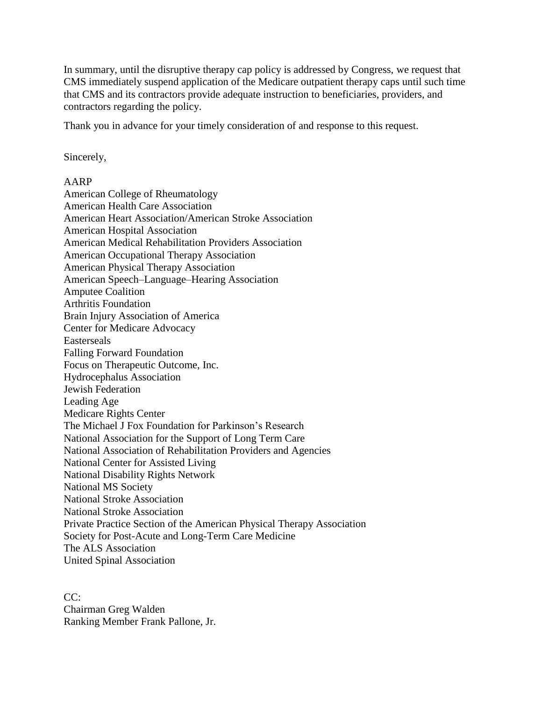In summary, until the disruptive therapy cap policy is addressed by Congress, we request that CMS immediately suspend application of the Medicare outpatient therapy caps until such time that CMS and its contractors provide adequate instruction to beneficiaries, providers, and contractors regarding the policy.

Thank you in advance for your timely consideration of and response to this request.

Sincerely,

## AARP

American College of Rheumatology American Health Care Association American Heart Association/American Stroke Association American Hospital Association American Medical Rehabilitation Providers Association American Occupational Therapy Association American Physical Therapy Association American Speech–Language–Hearing Association Amputee Coalition Arthritis Foundation Brain Injury Association of America Center for Medicare Advocacy Easterseals Falling Forward Foundation Focus on Therapeutic Outcome, Inc. Hydrocephalus Association Jewish Federation Leading Age Medicare Rights Center The Michael J Fox Foundation for Parkinson's Research National Association for the Support of Long Term Care National Association of Rehabilitation Providers and Agencies National Center for Assisted Living National Disability Rights Network National MS Society National Stroke Association National Stroke Association Private Practice Section of the American Physical Therapy Association Society for Post-Acute and Long-Term Care Medicine The ALS Association United Spinal Association

CC: Chairman Greg Walden Ranking Member Frank Pallone, Jr.